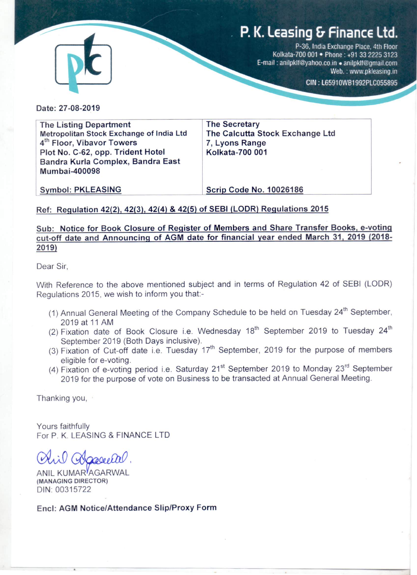# P. K. Leasing & Finance Ltd.



P-36, India Exchange Place, 4th Floor Kolkata-700 001 . Phone: +91 33 2225 3123 E-mail: anilpklf@yahoo.co.in . anilpklf@gmail.com Web.: www.pkleasing.in

CIN: L65910WB1992PLC055895

Date: 27-08-2019

**The Listing Department** Metropolitan Stock Exchange of India Ltd 4<sup>th</sup> Floor, Vibavor Towers Plot No. C-62, opp. Trident Hotel Bandra Kurla Complex, Bandra East **Mumbai-400098** 

**The Secretary** The Calcutta Stock Exchange Ltd 7. Lyons Range **Kolkata-700 001** 

**Symbol: PKLEASING** 

**Scrip Code No. 10026186** 

# Ref: Regulation 42(2), 42(3), 42(4) & 42(5) of SEBI (LODR) Regulations 2015

# Sub: Notice for Book Closure of Register of Members and Share Transfer Books, e-voting cut-off date and Announcing of AGM date for financial year ended March 31, 2019 (2018-2019)

Dear Sir.

With Reference to the above mentioned subject and in terms of Regulation 42 of SEBI (LODR) Regulations 2015, we wish to inform you that:-

- (1) Annual General Meeting of the Company Schedule to be held on Tuesday 24<sup>th</sup> September, 2019 at 11 AM
- (2) Fixation date of Book Closure i.e. Wednesday 18<sup>th</sup> September 2019 to Tuesday 24<sup>th</sup> September 2019 (Both Days inclusive).
- (3) Fixation of Cut-off date i.e. Tuesday 17<sup>th</sup> September, 2019 for the purpose of members eligible for e-voting.
- (4) Fixation of e-voting period i.e. Saturday 21<sup>st</sup> September 2019 to Monday 23<sup>rd</sup> September 2019 for the purpose of vote on Business to be transacted at Annual General Meeting.

Thanking you,

Yours faithfully For P. K. LEASING & FINANCE LTD

ANIL KUMAR<sup>Y</sup>AGARWAL (MANAGING DIRECTOR) DIN: 00315722

Encl: AGM Notice/Attendance Slip/Proxy Form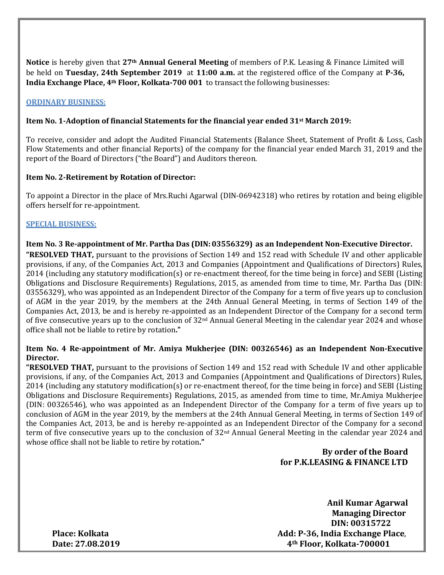**Notice** is hereby given that **27th Annual General Meeting** of members of P.K. Leasing & Finance Limited will be held on **Tuesday, 24th September 2019** at **11:00 a.m.** at the registered office of the Company at **P-36, India Exchange Place, 4th Floor, Kolkata-700 001** to transact the following businesses:

## **ORDINARY BUSINESS:**

## **Item No. 1-Adoption of financial Statements for the financial year ended 31st March 2019:**

To receive, consider and adopt the Audited Financial Statements (Balance Sheet, Statement of Profit & Loss, Cash Flow Statements and other financial Reports) of the company for the financial year ended March 31, 2019 and the report of the Board of Directors ("the Board") and Auditors thereon.

## **Item No. 2-Retirement by Rotation of Director:**

To appoint a Director in the place of Mrs.Ruchi Agarwal (DIN-06942318) who retires by rotation and being eligible offers herself for re-appointment.

## **SPECIAL BUSINESS:**

## **Item No. 3 Re-appointment of Mr. Partha Das (DIN:03556329) as an Independent Non-Executive Director.**

**"RESOLVED THAT,** pursuant to the provisions of Section 149 and 152 read with Schedule IV and other applicable provisions, if any, of the Companies Act, 2013 and Companies (Appointment and Qualifications of Directors) Rules, 2014 (including any statutory modification(s) or re-enactment thereof, for the time being in force) and SEBI (Listing Obligations and Disclosure Requirements) Regulations, 2015, as amended from time to time, Mr. Partha Das (DIN: 03556329), who was appointed as an Independent Director of the Company for a term of five years up to conclusion of AGM in the year 2019, by the members at the 24th Annual General Meeting, in terms of Section 149 of the Companies Act, 2013, be and is hereby re-appointed as an Independent Director of the Company for a second term of five consecutive years up to the conclusion of  $32<sup>nd</sup>$  Annual General Meeting in the calendar year 2024 and whose office shall not be liable to retire by rotation**."**

## **Item No. 4 Re-appointment of Mr. Amiya Mukherjee (DIN: 00326546) as an Independent Non-Executive Director.**

**"RESOLVED THAT,** pursuant to the provisions of Section 149 and 152 read with Schedule IV and other applicable provisions, if any, of the Companies Act, 2013 and Companies (Appointment and Qualifications of Directors) Rules, 2014 (including any statutory modification(s) or re-enactment thereof, for the time being in force) and SEBI (Listing Obligations and Disclosure Requirements) Regulations, 2015, as amended from time to time, Mr.Amiya Mukherjee (DIN: 00326546), who was appointed as an Independent Director of the Company for a term of five years up to conclusion of AGM in the year 2019, by the members at the 24th Annual General Meeting, in terms of Section 149 of the Companies Act, 2013, be and is hereby re-appointed as an Independent Director of the Company for a second term of five consecutive years up to the conclusion of 32nd Annual General Meeting in the calendar year 2024 and whose office shall not be liable to retire by rotation**."**

# **By order of the Board for P.K.LEASING & FINANCE LTD**

**Anil Kumar Agarwal Managing Director DIN: 00315722 Place: Kolkata Add: P-36, India Exchange Place**, **Date: 27.08.2019 4th Floor, Kolkata-700001**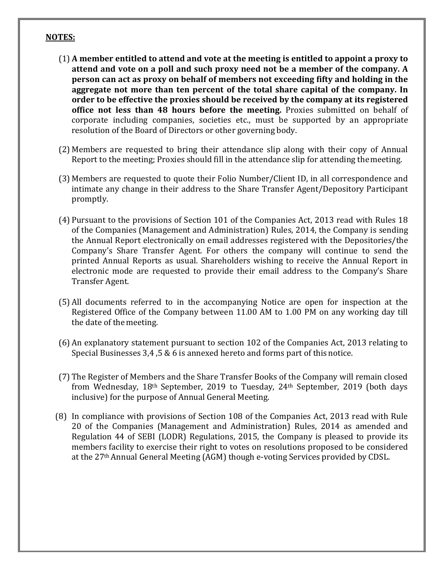## **NOTES:**

- (1) **A member entitled to attend and vote at the meeting is entitled to appoint a proxy to attend and vote on a poll and such proxy need not be a member of the company. A person can act as proxy on behalf of members not exceeding fifty and holding in the aggregate not more than ten percent of the total share capital of the company. In order to be effective the proxies should be received by the company at its registered office not less than 48 hours before the meeting.** Proxies submitted on behalf of corporate including companies, societies etc., must be supported by an appropriate resolution of the Board of Directors or other governing body.
- (2) Members are requested to bring their attendance slip along with their copy of Annual Report to the meeting; Proxies should fill in the attendance slip for attending themeeting.
- (3) Members are requested to quote their Folio Number/Client ID, in all correspondence and intimate any change in their address to the Share Transfer Agent/Depository Participant promptly.
- (4) Pursuant to the provisions of Section 101 of the Companies Act, 2013 read with Rules 18 of the Companies (Management and Administration) Rules, 2014, the Company is sending the Annual Report electronically on email addresses registered with the Depositories/the Company's Share Transfer Agent. For others the company will continue to send the printed Annual Reports as usual. Shareholders wishing to receive the Annual Report in electronic mode are requested to provide their email address to the Company's Share Transfer Agent.
- (5) All documents referred to in the accompanying Notice are open for inspection at the Registered Office of the Company between 11.00 AM to 1.00 PM on any working day till the date of the meeting.
- (6) An explanatory statement pursuant to section 102 of the Companies Act, 2013 relating to Special Businesses 3,4 ,5 & 6 is annexed hereto and forms part of this notice.
- (7) The Register of Members and the Share Transfer Books of the Company will remain closed from Wednesday, 18th September, 2019 to Tuesday, 24th September, 2019 (both days inclusive) for the purpose of Annual General Meeting.
- (8) In compliance with provisions of Section 108 of the Companies Act, 2013 read with Rule 20 of the Companies (Management and Administration) Rules, 2014 as amended and Regulation 44 of SEBI (LODR) Regulations, 2015, the Company is pleased to provide its members facility to exercise their right to votes on resolutions proposed to be considered at the 27th Annual General Meeting (AGM) though e-voting Services provided by CDSL.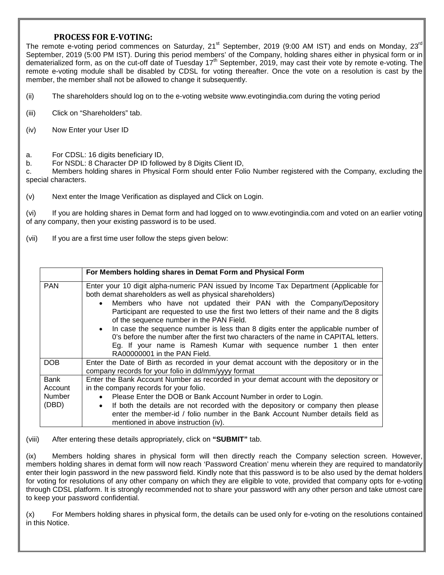## **PROCESS FOR E-VOTING:**

The remote e-voting period commences on Saturday, 21<sup>st</sup> September, 2019 (9:00 AM IST) and ends on Monday, 23<sup>rd</sup> September, 2019 (5:00 PM IST). During this period members' of the Company, holding shares either in physical form or in dematerialized form, as on the cut-off date of Tuesday  $17<sup>th</sup>$  September, 2019, may cast their vote by remote e-voting. The remote e-voting module shall be disabled by CDSL for voting thereafter. Once the vote on a resolution is cast by the member, the member shall not be allowed to change it subsequently.

(ii) The shareholders should log on to the e-voting website www.evotingindia.com during the voting period

- (iii) Click on "Shareholders" tab.
- (iv) Now Enter your User ID
- a. For CDSL: 16 digits beneficiary ID,
- b. For NSDL: 8 Character DP ID followed by 8 Digits Client ID,

c. Members holding shares in Physical Form should enter Folio Number registered with the Company, excluding the special characters.

(v) Next enter the Image Verification as displayed and Click on Login.

(vi) If you are holding shares in Demat form and had logged on to www.evotingindia.com and voted on an earlier voting of any company, then your existing password is to be used.

(vii) If you are a first time user follow the steps given below:

|                                           | For Members holding shares in Demat Form and Physical Form                                                                                                                                                                                                                                                                                                                                                                                                                                                                                                                                                                                                                |
|-------------------------------------------|---------------------------------------------------------------------------------------------------------------------------------------------------------------------------------------------------------------------------------------------------------------------------------------------------------------------------------------------------------------------------------------------------------------------------------------------------------------------------------------------------------------------------------------------------------------------------------------------------------------------------------------------------------------------------|
| <b>PAN</b>                                | Enter your 10 digit alpha-numeric PAN issued by Income Tax Department (Applicable for<br>both demat shareholders as well as physical shareholders)<br>Members who have not updated their PAN with the Company/Depository<br>$\bullet$<br>Participant are requested to use the first two letters of their name and the 8 digits<br>of the sequence number in the PAN Field.<br>In case the sequence number is less than 8 digits enter the applicable number of<br>$\bullet$<br>0's before the number after the first two characters of the name in CAPITAL letters.<br>Eg. If your name is Ramesh Kumar with sequence number 1 then enter<br>RA00000001 in the PAN Field. |
| <b>DOB</b>                                | Enter the Date of Birth as recorded in your demat account with the depository or in the<br>company records for your folio in dd/mm/yyyy format                                                                                                                                                                                                                                                                                                                                                                                                                                                                                                                            |
| <b>Bank</b><br>Account<br>Number<br>(DBD) | Enter the Bank Account Number as recorded in your demat account with the depository or<br>in the company records for your folio.<br>Please Enter the DOB or Bank Account Number in order to Login.<br>If both the details are not recorded with the depository or company then please<br>$\bullet$<br>enter the member-id / folio number in the Bank Account Number details field as<br>mentioned in above instruction (iv).                                                                                                                                                                                                                                              |

(viii) After entering these details appropriately, click on **"SUBMIT"** tab.

(ix) Members holding shares in physical form will then directly reach the Company selection screen. However, members holding shares in demat form will now reach 'Password Creation' menu wherein they are required to mandatorily enter their login password in the new password field. Kindly note that this password is to be also used by the demat holders for voting for resolutions of any other company on which they are eligible to vote, provided that company opts for e-voting through CDSL platform. It is strongly recommended not to share your password with any other person and take utmost care to keep your password confidential.

 $(x)$  For Members holding shares in physical form, the details can be used only for e-voting on the resolutions contained in this Notice.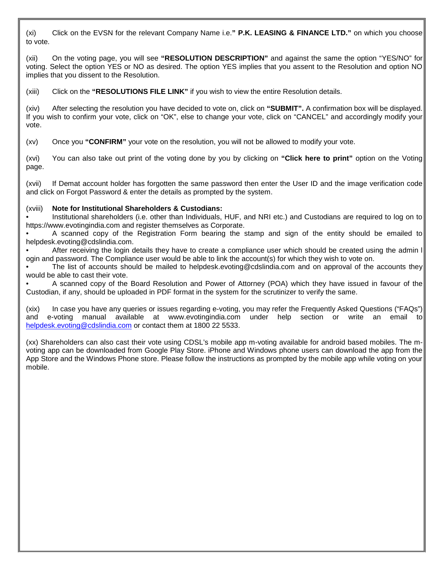(xi) Click on the EVSN for the relevant Company Name i.e.**" P.K. LEASING & FINANCE LTD."** on which you choose to vote.

(xii) On the voting page, you will see **"RESOLUTION DESCRIPTION"** and against the same the option "YES/NO" for voting. Select the option YES or NO as desired. The option YES implies that you assent to the Resolution and option NO implies that you dissent to the Resolution.

(xiii) Click on the **"RESOLUTIONS FILE LINK"** if you wish to view the entire Resolution details.

(xiv) After selecting the resolution you have decided to vote on, click on **"SUBMIT".** A confirmation box will be displayed. If you wish to confirm your vote, click on "OK", else to change your vote, click on "CANCEL" and accordingly modify your vote.

(xv) Once you **"CONFIRM"** your vote on the resolution, you will not be allowed to modify your vote.

(xvi) You can also take out print of the voting done by you by clicking on **"Click here to print"** option on the Voting page.

(xvii) If Demat account holder has forgotten the same password then enter the User ID and the image verification code and click on Forgot Password & enter the details as prompted by the system.

#### (xviii) **Note for Institutional Shareholders & Custodians:**

• Institutional shareholders (i.e. other than Individuals, HUF, and NRI etc.) and Custodians are required to log on to https://www.evotingindia.com and register themselves as Corporate.

• A scanned copy of the Registration Form bearing the stamp and sign of the entity should be emailed to helpdesk.evoting@cdslindia.com.

After receiving the login details they have to create a compliance user which should be created using the admin I ogin and password. The Compliance user would be able to link the account(s) for which they wish to vote on.

The list of accounts should be mailed to helpdesk.evoting@cdslindia.com and on approval of the accounts they would be able to cast their vote.

• A scanned copy of the Board Resolution and Power of Attorney (POA) which they have issued in favour of the Custodian, if any, should be uploaded in PDF format in the system for the scrutinizer to verify the same.

(xix) In case you have any queries or issues regarding e-voting, you may refer the Frequently Asked Questions ("FAQs") and e-voting manual available at www.evotingindia.com under help section or write an email to [helpdesk.evoting@cdslindia.com](mailto:helpdesk.evoting@cdslindia.com) or contact them at 1800 22 5533.

(xx) Shareholders can also cast their vote using CDSL's mobile app m-voting available for android based mobiles. The mvoting app can be downloaded from Google Play Store. iPhone and Windows phone users can download the app from the App Store and the Windows Phone store. Please follow the instructions as prompted by the mobile app while voting on your mobile.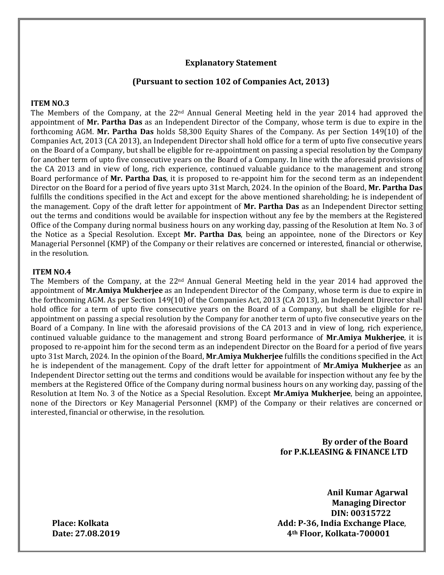## **Explanatory Statement**

#### **(Pursuant to section 102 of Companies Act, 2013)**

#### **ITEM NO.3**

The Members of the Company, at the  $22<sup>nd</sup>$  Annual General Meeting held in the year 2014 had approved the appointment of **Mr. Partha Das** as an Independent Director of the Company, whose term is due to expire in the forthcoming AGM. **Mr. Partha Das** holds 58,300 Equity Shares of the Company. As per Section 149(10) of the Companies Act, 2013 (CA 2013), an Independent Director shall hold office for a term of upto five consecutive years on the Board of a Company, but shall be eligible for re-appointment on passing a special resolution by the Company for another term of upto five consecutive years on the Board of a Company. In line with the aforesaid provisions of the CA 2013 and in view of long, rich experience, continued valuable guidance to the management and strong Board performance of **Mr. Partha Das**, it is proposed to re-appoint him for the second term as an independent Director on the Board for a period of five years upto 31st March, 2024. In the opinion of the Board, **Mr. Partha Das** fulfills the conditions specified in the Act and except for the above mentioned shareholding; he is independent of the management. Copy of the draft letter for appointment of **Mr. Partha Das** as an Independent Director setting out the terms and conditions would be available for inspection without any fee by the members at the Registered Office of the Company during normal business hours on any working day, passing of the Resolution at Item No. 3 of the Notice as a Special Resolution. Except **Mr. Partha Das**, being an appointee, none of the Directors or Key Managerial Personnel (KMP) of the Company or their relatives are concerned or interested, financial or otherwise, in the resolution.

#### **ITEM NO.4**

The Members of the Company, at the  $22<sup>nd</sup>$  Annual General Meeting held in the year 2014 had approved the appointment of **Mr**.**Amiya Mukherjee** as an Independent Director of the Company, whose term is due to expire in the forthcoming AGM. As per Section 149(10) of the Companies Act, 2013 (CA 2013), an Independent Director shall hold office for a term of upto five consecutive years on the Board of a Company, but shall be eligible for reappointment on passing a special resolution by the Company for another term of upto five consecutive years on the Board of a Company. In line with the aforesaid provisions of the CA 2013 and in view of long, rich experience, continued valuable guidance to the management and strong Board performance of **Mr**.**Amiya Mukherjee**, it is proposed to re-appoint him for the second term as an independent Director on the Board for a period of five years upto 31st March, 2024. In the opinion of the Board, **Mr**.**Amiya Mukherjee** fulfills the conditions specified in the Act he is independent of the management. Copy of the draft letter for appointment of **Mr**.**Amiya Mukherjee** as an Independent Director setting out the terms and conditions would be available for inspection without any fee by the members at the Registered Office of the Company during normal business hours on any working day, passing of the Resolution at Item No. 3 of the Notice as a Special Resolution. Except **Mr**.**Amiya Mukherjee**, being an appointee, none of the Directors or Key Managerial Personnel (KMP) of the Company or their relatives are concerned or interested, financial or otherwise, in the resolution.

> **By order of the Board for P.K.LEASING & FINANCE LTD**

**Anil Kumar Agarwal Managing Director DIN: 00315722** Place: Kolkata **Add: P-36, India Exchange Place,**<br>Date: 27.08.2019 **Add: P-36, India Exchange Place**, **Date: 27.08.2019 4th Floor, Kolkata-700001**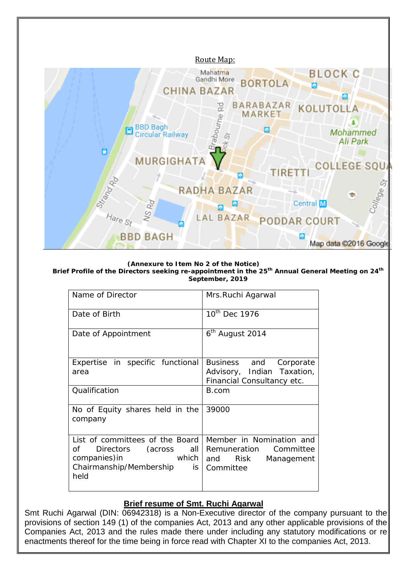

**(Annexure to Item No 2 of the Notice)**

**Brief Profile of the Directors seeking re-appointment in the 25th Annual General Meeting on 24th September, 2019**

| Name of Director                                                                                                                                                                                                                                             | Mrs.Ruchi Agarwal                                                                      |
|--------------------------------------------------------------------------------------------------------------------------------------------------------------------------------------------------------------------------------------------------------------|----------------------------------------------------------------------------------------|
| Date of Birth                                                                                                                                                                                                                                                | 10 <sup>th</sup> Dec 1976                                                              |
| Date of Appointment                                                                                                                                                                                                                                          | 6 <sup>th</sup> August 2014                                                            |
| Expertise in specific functional<br>area                                                                                                                                                                                                                     | Business and Corporate<br>Advisory, Indian Taxation,<br>Financial Consultancy etc.     |
| Qualification                                                                                                                                                                                                                                                | B.com                                                                                  |
| No of Equity shares held in the<br>company                                                                                                                                                                                                                   | 39000                                                                                  |
| List of committees of the Board<br>Directors (across all<br>of the contract of the contract of the contract of the contract of the contract of the contract of the contract<br><b>Example 1</b> which<br>companies) in<br>Chairmanship/Membership is<br>held | Member in Nomination and<br>Remuneration Committee<br>and Risk Management<br>Committee |

# **Brief resume of Smt. Ruchi Agarwal**

Smt Ruchi Agarwal (DIN: 06942318) is a Non-Executive director of the company pursuant to the provisions of section 149 (1) of the companies Act, 2013 and any other applicable provisions of the Companies Act, 2013 and the rules made there under including any statutory modifications or re enactments thereof for the time being in force read with Chapter XI to the companies Act, 2013.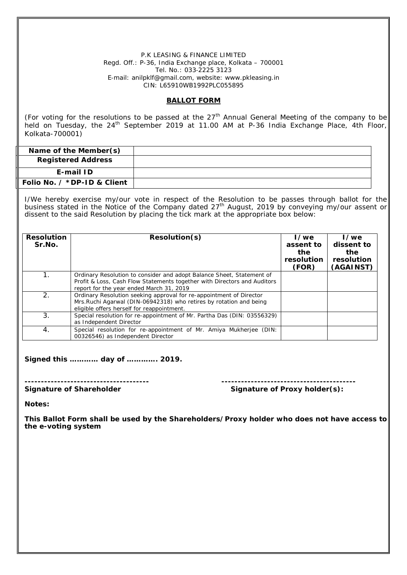P.K LEASING & FINANCE LIMITED Regd. Off.: P-36, India Exchange place, Kolkata – 700001 Tel. No.: 033‐2225 3123 E‐mail: anilpklf@gmail.com, website: www.pkleasing.in CIN: L65910WB1992PLC055895

#### **BALLOT FORM**

(For voting for the resolutions to be passed at the  $27<sup>th</sup>$  Annual General Meeting of the company to be held on Tuesday, the 24<sup>th</sup> September 2019 at 11.00 AM at P-36 India Exchange Place, 4th Floor, Kolkata-700001)

| Name of the Member(s)                                                                                                                                                                                                                                                                                        |                                                                                                                                                                                          |                                                                                                                                                   |                                                 |                                                         |  |
|--------------------------------------------------------------------------------------------------------------------------------------------------------------------------------------------------------------------------------------------------------------------------------------------------------------|------------------------------------------------------------------------------------------------------------------------------------------------------------------------------------------|---------------------------------------------------------------------------------------------------------------------------------------------------|-------------------------------------------------|---------------------------------------------------------|--|
| <b>Registered Address</b>                                                                                                                                                                                                                                                                                    |                                                                                                                                                                                          |                                                                                                                                                   |                                                 |                                                         |  |
|                                                                                                                                                                                                                                                                                                              | E-mail ID                                                                                                                                                                                |                                                                                                                                                   |                                                 |                                                         |  |
|                                                                                                                                                                                                                                                                                                              | Folio No. / *DP-ID & Client                                                                                                                                                              |                                                                                                                                                   |                                                 |                                                         |  |
| I/We hereby exercise my/our vote in respect of the Resolution to be passes through ballot for the<br>business stated in the Notice of the Company dated 27 <sup>th</sup> August, 2019 by conveying my/our assent or<br>dissent to the said Resolution by placing the tick mark at the appropriate box below: |                                                                                                                                                                                          |                                                                                                                                                   |                                                 |                                                         |  |
| <b>Resolution</b><br>Sr.No.                                                                                                                                                                                                                                                                                  |                                                                                                                                                                                          | Resolution(s)                                                                                                                                     | I/we<br>assent to<br>the<br>resolution<br>(FOR) | $I$ /we<br>dissent to<br>the<br>resolution<br>(AGAINST) |  |
| 1.                                                                                                                                                                                                                                                                                                           | report for the year ended March 31, 2019                                                                                                                                                 | Ordinary Resolution to consider and adopt Balance Sheet, Statement of<br>Profit & Loss, Cash Flow Statements together with Directors and Auditors |                                                 |                                                         |  |
| 2.                                                                                                                                                                                                                                                                                                           | Ordinary Resolution seeking approval for re-appointment of Director<br>Mrs. Ruchi Agarwal (DIN-06942318) who retires by rotation and being<br>eligible offers herself for reappointment. |                                                                                                                                                   |                                                 |                                                         |  |
| 3.                                                                                                                                                                                                                                                                                                           |                                                                                                                                                                                          | Special resolution for re-appointment of Mr. Partha Das (DIN: 03556329)<br>as Independent Director                                                |                                                 |                                                         |  |
| 4.                                                                                                                                                                                                                                                                                                           | Special resolution for re-appointment of Mr. Amiya Mukherjee (DIN:<br>00326546) as Independent Director                                                                                  |                                                                                                                                                   |                                                 |                                                         |  |

**Signed this ………… day of …………. 2019.**

**-------------------------------------- -----------------------------------------**

Signature of Proxy holder(s):

**Notes:**

**This Ballot Form shall be used by the Shareholders/Proxy holder who does not have access to the e-voting system**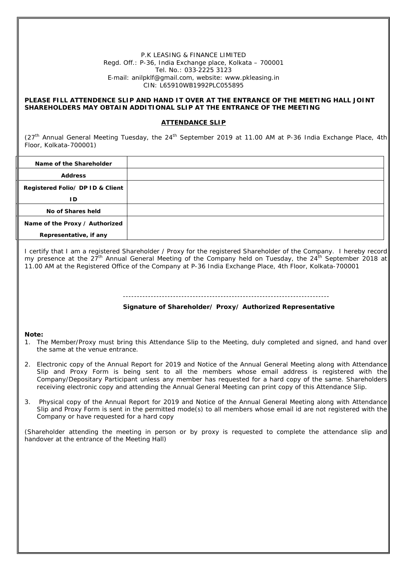P.K LEASING & FINANCE LIMITED Regd. Off.: P-36, India Exchange place, Kolkata – 700001 Tel. No.: 033‐2225 3123 E‐mail: anilpklf@gmail.com, website: www.pkleasing.in CIN: L65910WB1992PLC055895

#### **PLEASE FILL ATTENDENCE SLIP AND HAND IT OVER AT THE ENTRANCE OF THE MEETING HALL JOINT SHAREHOLDERS MAY OBTAIN ADDITIONAL SLIP AT THE ENTRANCE OF THE MEETING**

#### **ATTENDANCE SLIP**

 $(27<sup>th</sup>$  Annual General Meeting Tuesday, the  $24<sup>th</sup>$  September 2019 at 11.00 AM at P-36 India Exchange Place, 4th Floor, Kolkata-700001)

| Name of the Shareholder          |  |
|----------------------------------|--|
| <b>Address</b>                   |  |
| Registered Folio/ DP ID & Client |  |
| ID                               |  |
| No of Shares held                |  |
| Name of the Proxy / Authorized   |  |
| Representative, if any           |  |

I certify that I am a registered Shareholder / Proxy for the registered Shareholder of the Company. I hereby record my presence at the 27<sup>th</sup> Annual General Meeting of the Company held on Tuesday, the 24<sup>th</sup> September 2018 at 11.00 AM at the Registered Office of the Company at P-36 India Exchange Place, 4th Floor, Kolkata-700001

#### --------------------------------------------------------------------------

**Signature of Shareholder/ Proxy/ Authorized Representative**

#### **Note:**

- 1. The Member/Proxy must bring this Attendance Slip to the Meeting, duly completed and signed, and hand over the same at the venue entrance.
- 2. Electronic copy of the Annual Report for 2019 and Notice of the Annual General Meeting along with Attendance Slip and Proxy Form is being sent to all the members whose email address is registered with the Company/Depositary Participant unless any member has requested for a hard copy of the same. Shareholders receiving electronic copy and attending the Annual General Meeting can print copy of this Attendance Slip.
- 3. Physical copy of the Annual Report for 2019 and Notice of the Annual General Meeting along with Attendance Slip and Proxy Form is sent in the permitted mode(s) to all members whose email id are not registered with the Company or have requested for a hard copy

(Shareholder attending the meeting in person or by proxy is requested to complete the attendance slip and handover at the entrance of the Meeting Hall)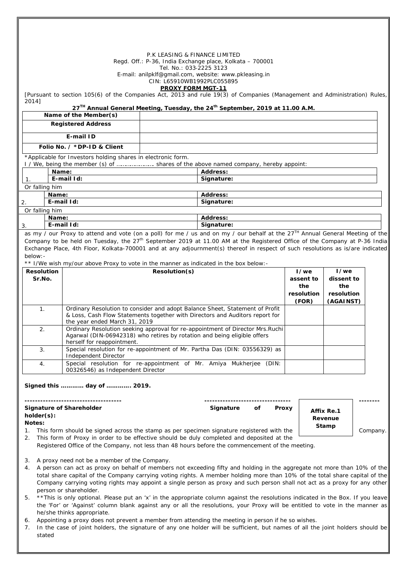|    |                                                                                                                                                                                                                                                           |                                                                                       | P.K LEASING & FINANCE LIMITED                          |                                                                                                                                                                                                                                                                        |                   |                    |          |
|----|-----------------------------------------------------------------------------------------------------------------------------------------------------------------------------------------------------------------------------------------------------------|---------------------------------------------------------------------------------------|--------------------------------------------------------|------------------------------------------------------------------------------------------------------------------------------------------------------------------------------------------------------------------------------------------------------------------------|-------------------|--------------------|----------|
|    |                                                                                                                                                                                                                                                           |                                                                                       | Tel. No.: 033-2225 3123                                | Regd. Off.: P-36, India Exchange place, Kolkata - 700001                                                                                                                                                                                                               |                   |                    |          |
|    |                                                                                                                                                                                                                                                           |                                                                                       |                                                        | E-mail: anilpklf@gmail.com, website: www.pkleasing.in                                                                                                                                                                                                                  |                   |                    |          |
|    |                                                                                                                                                                                                                                                           |                                                                                       | CIN: L65910WB1992PLC055895<br><b>PROXY FORM MGT-11</b> |                                                                                                                                                                                                                                                                        |                   |                    |          |
|    | 2014]                                                                                                                                                                                                                                                     |                                                                                       |                                                        | [Pursuant to section 105(6) of the Companies Act, 2013 and rule 19(3) of Companies (Management and Administration) Rules,                                                                                                                                              |                   |                    |          |
|    |                                                                                                                                                                                                                                                           | Name of the Member(s)                                                                 |                                                        | 27 <sup>TH</sup> Annual General Meeting, Tuesday, the 24 <sup>th</sup> September, 2019 at 11.00 A.M.                                                                                                                                                                   |                   |                    |          |
|    |                                                                                                                                                                                                                                                           | <b>Registered Address</b>                                                             |                                                        |                                                                                                                                                                                                                                                                        |                   |                    |          |
|    |                                                                                                                                                                                                                                                           | E-mail ID                                                                             |                                                        |                                                                                                                                                                                                                                                                        |                   |                    |          |
|    |                                                                                                                                                                                                                                                           | Folio No. / *DP-ID & Client                                                           |                                                        |                                                                                                                                                                                                                                                                        |                   |                    |          |
|    |                                                                                                                                                                                                                                                           | *Applicable for Investors holding shares in electronic form.                          |                                                        |                                                                                                                                                                                                                                                                        |                   |                    |          |
|    |                                                                                                                                                                                                                                                           |                                                                                       |                                                        | I / We, being the member (s) of  shares of the above named company, hereby appoint:                                                                                                                                                                                    |                   |                    |          |
| 1. | Name:                                                                                                                                                                                                                                                     | E-mail Id:                                                                            |                                                        | <b>Address:</b><br>Signature:                                                                                                                                                                                                                                          |                   |                    |          |
|    | Or falling him                                                                                                                                                                                                                                            |                                                                                       |                                                        |                                                                                                                                                                                                                                                                        |                   |                    |          |
|    | Name:                                                                                                                                                                                                                                                     |                                                                                       |                                                        | Address:                                                                                                                                                                                                                                                               |                   |                    |          |
| 2. |                                                                                                                                                                                                                                                           | E-mail Id:                                                                            |                                                        | Signature:                                                                                                                                                                                                                                                             |                   |                    |          |
|    | Or falling him<br>Name:                                                                                                                                                                                                                                   |                                                                                       |                                                        | <b>Address:</b>                                                                                                                                                                                                                                                        |                   |                    |          |
| 3. |                                                                                                                                                                                                                                                           | E-mail Id:                                                                            |                                                        | Signature:                                                                                                                                                                                                                                                             |                   |                    |          |
|    |                                                                                                                                                                                                                                                           |                                                                                       |                                                        | as my / our Proxy to attend and vote (on a poll) for me / us and on my / our behalf at the 27 <sup>TH</sup> Annual General Meeting of the                                                                                                                              |                   |                    |          |
|    |                                                                                                                                                                                                                                                           |                                                                                       |                                                        | Company to be held on Tuesday, the 27 <sup>th</sup> September 2019 at 11.00 AM at the Registered Office of the Company at P-36 India<br>Exchange Place, 4th Floor, Kolkata-700001 and at any adjournment(s) thereof in respect of such resolutions as is/are indicated |                   |                    |          |
|    | below: -                                                                                                                                                                                                                                                  |                                                                                       |                                                        |                                                                                                                                                                                                                                                                        |                   |                    |          |
|    |                                                                                                                                                                                                                                                           | ** I/We wish my/our above Proxy to vote in the manner as indicated in the box below:- |                                                        |                                                                                                                                                                                                                                                                        |                   |                    |          |
|    | <b>Resolution</b><br>Sr.No.                                                                                                                                                                                                                               |                                                                                       | Resolution(s)                                          |                                                                                                                                                                                                                                                                        | I/we<br>assent to | I/we<br>dissent to |          |
|    |                                                                                                                                                                                                                                                           |                                                                                       |                                                        |                                                                                                                                                                                                                                                                        | the               | the                |          |
|    |                                                                                                                                                                                                                                                           |                                                                                       |                                                        |                                                                                                                                                                                                                                                                        | resolution        | resolution         |          |
|    | 1.                                                                                                                                                                                                                                                        |                                                                                       |                                                        |                                                                                                                                                                                                                                                                        | (FOR)             | (AGAINST)          |          |
|    | Ordinary Resolution to consider and adopt Balance Sheet, Statement of Profit<br>& Loss, Cash Flow Statements together with Directors and Auditors report for                                                                                              |                                                                                       |                                                        |                                                                                                                                                                                                                                                                        |                   |                    |          |
|    | 2.                                                                                                                                                                                                                                                        | the year ended March 31, 2019                                                         |                                                        | Ordinary Resolution seeking approval for re-appointment of Director Mrs.Ruchi                                                                                                                                                                                          |                   |                    |          |
|    |                                                                                                                                                                                                                                                           | Agarwal (DIN-06942318) who retires by rotation and being eligible offers              |                                                        |                                                                                                                                                                                                                                                                        |                   |                    |          |
|    | 3.                                                                                                                                                                                                                                                        | herself for reappointment                                                             |                                                        | Special resolution for re-appointment of Mr. Partha Das (DIN: 03556329) as                                                                                                                                                                                             |                   |                    |          |
|    |                                                                                                                                                                                                                                                           | Independent Director                                                                  |                                                        |                                                                                                                                                                                                                                                                        |                   |                    |          |
|    | 4.                                                                                                                                                                                                                                                        | 00326546) as Independent Director                                                     |                                                        | Special resolution for re-appointment of Mr. Amiya Mukherjee (DIN:                                                                                                                                                                                                     |                   |                    |          |
|    |                                                                                                                                                                                                                                                           |                                                                                       |                                                        |                                                                                                                                                                                                                                                                        |                   |                    |          |
|    |                                                                                                                                                                                                                                                           | Signed this  day of  2019.                                                            |                                                        |                                                                                                                                                                                                                                                                        |                   |                    |          |
|    |                                                                                                                                                                                                                                                           | ----------------------------------                                                    |                                                        |                                                                                                                                                                                                                                                                        |                   |                    |          |
|    |                                                                                                                                                                                                                                                           | <b>Signature of Shareholder</b>                                                       |                                                        | Signature<br>оf                                                                                                                                                                                                                                                        | Proxy             | Affix Re.1         |          |
|    | $holder(s)$ :<br>Notes:                                                                                                                                                                                                                                   |                                                                                       |                                                        |                                                                                                                                                                                                                                                                        |                   | Revenue            |          |
| 1. |                                                                                                                                                                                                                                                           |                                                                                       |                                                        | This form should be signed across the stamp as per specimen signature registered with the                                                                                                                                                                              |                   | Stamp              | Company. |
| 2. | This form of Proxy in order to be effective should be duly completed and deposited at the                                                                                                                                                                 |                                                                                       |                                                        |                                                                                                                                                                                                                                                                        |                   |                    |          |
|    |                                                                                                                                                                                                                                                           |                                                                                       |                                                        | Registered Office of the Company, not less than 48 hours before the commencement of the meeting.                                                                                                                                                                       |                   |                    |          |
| 3. |                                                                                                                                                                                                                                                           | A proxy need not be a member of the Company.                                          |                                                        |                                                                                                                                                                                                                                                                        |                   |                    |          |
| 4. |                                                                                                                                                                                                                                                           |                                                                                       |                                                        | A person can act as proxy on behalf of members not exceeding fifty and holding in the aggregate not more than 10% of the                                                                                                                                               |                   |                    |          |
|    | total share capital of the Company carrying voting rights. A member holding more than 10% of the total share capital of the<br>Company carrying voting rights may appoint a single person as proxy and such person shall not act as a proxy for any other |                                                                                       |                                                        |                                                                                                                                                                                                                                                                        |                   |                    |          |
|    |                                                                                                                                                                                                                                                           | person or shareholder.                                                                |                                                        |                                                                                                                                                                                                                                                                        |                   |                    |          |
| 5. |                                                                                                                                                                                                                                                           |                                                                                       |                                                        | ** This is only optional. Please put an 'x' in the appropriate column against the resolutions indicated in the Box. If you leave                                                                                                                                       |                   |                    |          |
|    |                                                                                                                                                                                                                                                           |                                                                                       |                                                        | the 'For' or 'Against' column blank against any or all the resolutions, your Proxy will be entitled to vote in the manner as                                                                                                                                           |                   |                    |          |
| 6. | he/she thinks appropriate.<br>Appointing a proxy does not prevent a member from attending the meeting in person if he so wishes.                                                                                                                          |                                                                                       |                                                        |                                                                                                                                                                                                                                                                        |                   |                    |          |
| 7. |                                                                                                                                                                                                                                                           |                                                                                       |                                                        | In the case of joint holders, the signature of any one holder will be sufficient, but names of all the joint holders should be                                                                                                                                         |                   |                    |          |
|    | stated                                                                                                                                                                                                                                                    |                                                                                       |                                                        |                                                                                                                                                                                                                                                                        |                   |                    |          |